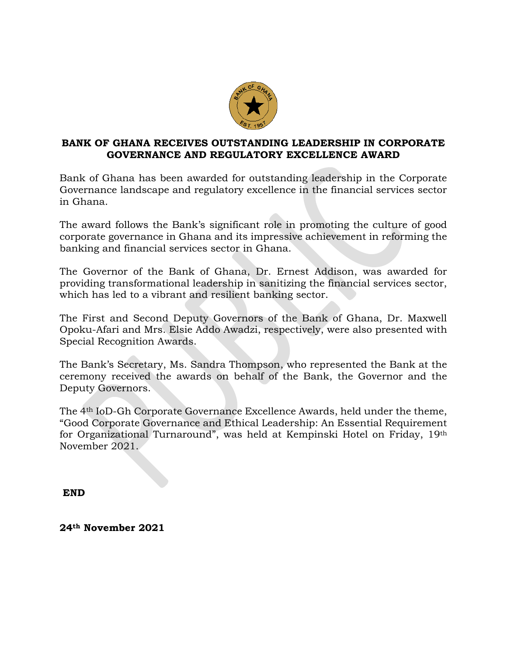

## **BANK OF GHANA RECEIVES OUTSTANDING LEADERSHIP IN CORPORATE GOVERNANCE AND REGULATORY EXCELLENCE AWARD**

Bank of Ghana has been awarded for outstanding leadership in the Corporate Governance landscape and regulatory excellence in the financial services sector in Ghana.

The award follows the Bank's significant role in promoting the culture of good corporate governance in Ghana and its impressive achievement in reforming the banking and financial services sector in Ghana.

The Governor of the Bank of Ghana, Dr. Ernest Addison, was awarded for providing transformational leadership in sanitizing the financial services sector, which has led to a vibrant and resilient banking sector.

The First and Second Deputy Governors of the Bank of Ghana, Dr. Maxwell Opoku-Afari and Mrs. Elsie Addo Awadzi, respectively, were also presented with Special Recognition Awards.

The Bank's Secretary, Ms. Sandra Thompson, who represented the Bank at the ceremony received the awards on behalf of the Bank, the Governor and the Deputy Governors.

The 4th IoD-Gh Corporate Governance Excellence Awards, held under the theme, "Good Corporate Governance and Ethical Leadership: An Essential Requirement for Organizational Turnaround", was held at Kempinski Hotel on Friday, 19th November 2021.

**END**

**24th November 2021**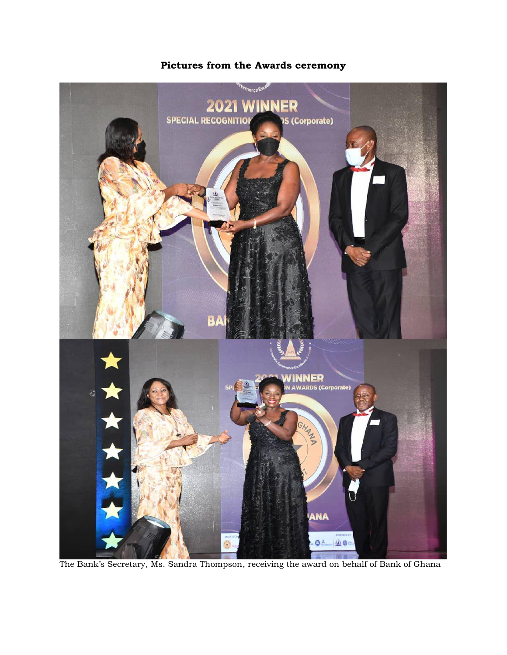

**Pictures from the Awards ceremony**

The Bank's Secretary, Ms. Sandra Thompson, receiving the award on behalf of Bank of Ghana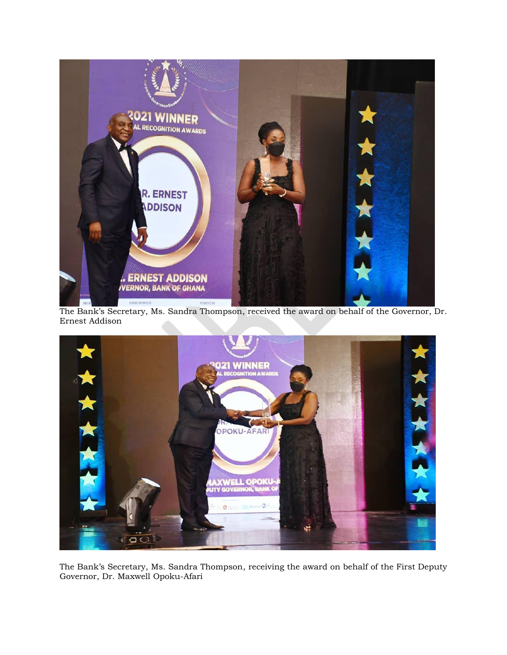

The Bank's Secretary, Ms. Sandra Thompson, received the award on behalf of the Governor, Dr. Ernest Addison



The Bank's Secretary, Ms. Sandra Thompson, receiving the award on behalf of the First Deputy Governor, Dr. Maxwell Opoku-Afari